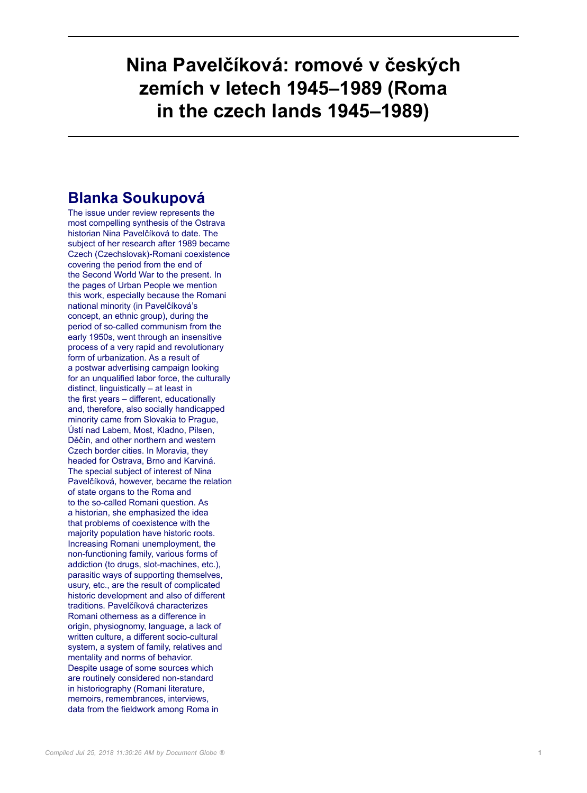## **Nina Pavelčíková: romové v českých zemích v letech 1945–1989 (Roma in the czech lands 1945–1989)**

## **Blanka Soukupová**

The issue under review represents the most compelling synthesis of the Ostrava historian Nina Pavelčíková to date. The subject of her research after 1989 became Czech (Czechslovak)-Romani coexistence covering the period from the end of the Second World War to the present. In the pages of Urban People we mention this work, especially because the Romani national minority (in Pavelčíková's concept, an ethnic group), during the period of so-called communism from the early 1950s, went through an insensitive process of a very rapid and revolutionary form of urbanization. As a result of a postwar advertising campaign looking for an unqualified labor force, the culturally distinct, linguistically – at least in the first years – different, educationally and, therefore, also socially handicapped minority came from Slovakia to Prague, Ústí nad Labem, Most, Kladno, Pilsen, Děčín, and other northern and western Czech border cities. In Moravia, they headed for Ostrava, Brno and Karviná. The special subject of interest of Nina Pavelčíková, however, became the relation of state organs to the Roma and to the so-called Romani question. As a historian, she emphasized the idea that problems of coexistence with the majority population have historic roots. Increasing Romani unemployment, the non-functioning family, various forms of addiction (to drugs, slot-machines, etc.), parasitic ways of supporting themselves, usury, etc., are the result of complicated historic development and also of different traditions. Pavelčíková characterizes Romani otherness as a difference in origin, physiognomy, language, a lack of written culture, a different socio-cultural system, a system of family, relatives and mentality and norms of behavior. Despite usage of some sources which are routinely considered non-standard in historiography (Romani literature, memoirs, remembrances, interviews, data from the fieldwork among Roma in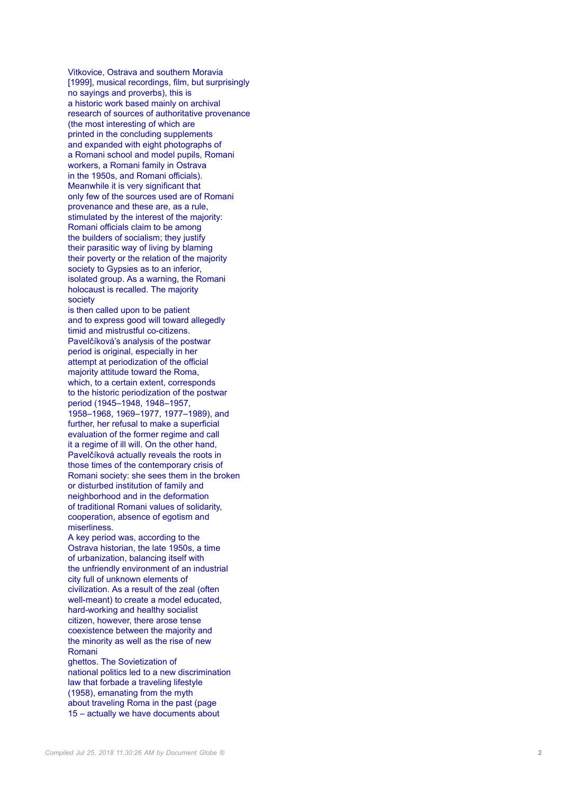Vitkovice, Ostrava and southern Moravia [1999], musical recordings, film, but surprisingly no sayings and proverbs), this is a historic work based mainly on archival research of sources of authoritative provenance (the most interesting of which are printed in the concluding supplements and expanded with eight photographs of a Romani school and model pupils, Romani workers, a Romani family in Ostrava in the 1950s, and Romani officials). Meanwhile it is very significant that only few of the sources used are of Romani provenance and these are, as a rule, stimulated by the interest of the majority: Romani officials claim to be among the builders of socialism; they justify their parasitic way of living by blaming their poverty or the relation of the majority society to Gypsies as to an inferior, isolated group. As a warning, the Romani holocaust is recalled. The majority society

is then called upon to be patient and to express good will toward allegedly timid and mistrustful co-citizens. Pavelčíková's analysis of the postwar period is original, especially in her attempt at periodization of the official majority attitude toward the Roma, which, to a certain extent, corresponds to the historic periodization of the postwar period (1945–1948, 1948–1957, 1958–1968, 1969–1977, 1977–1989), and further, her refusal to make a superficial evaluation of the former regime and call it a regime of ill will. On the other hand, Pavelčíková actually reveals the roots in those times of the contemporary crisis of Romani society: she sees them in the broken or disturbed institution of family and neighborhood and in the deformation of traditional Romani values of solidarity, cooperation, absence of egotism and miserliness.

A key period was, according to the Ostrava historian, the late 1950s, a time of urbanization, balancing itself with the unfriendly environment of an industrial city full of unknown elements of civilization. As a result of the zeal (often well-meant) to create a model educated, hard-working and healthy socialist citizen, however, there arose tense coexistence between the majority and the minority as well as the rise of new Romani

ghettos. The Sovietization of national politics led to a new discrimination law that forbade a traveling lifestyle (1958), emanating from the myth about traveling Roma in the past (page 15 – actually we have documents about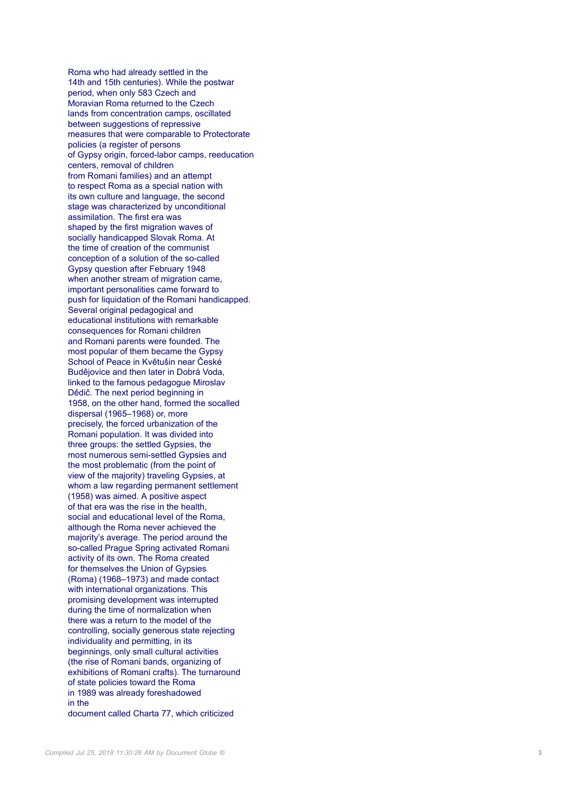Roma who had already settled in the 14th and 15th centuries). While the postwar period, when only 583 Czech and Moravian Roma returned to the Czech lands from concentration camps, oscillated between suggestions of repressive measures that were comparable to Protectorate policies (a register of persons of Gypsy origin, forced-labor camps, reeducation centers, removal of children from Romani families) and an attempt to respect Roma as a special nation with its own culture and language, the second stage was characterized by unconditional assimilation. The first era was shaped by the first migration waves of socially handicapped Slovak Roma. At the time of creation of the communist conception of a solution of the so-called Gypsy question after February 1948 when another stream of migration came, important personalities came forward to push for liquidation of the Romani handicapped. Several original pedagogical and educational institutions with remarkable consequences for Romani children and Romani parents were founded. The most popular of them became the Gypsy School of Peace in Květušin near České Budějovice and then later in Dobrá Voda, linked to the famous pedagogue Miroslav Dědič. The next period beginning in 1958, on the other hand, formed the socalled dispersal (1965–1968) or, more precisely, the forced urbanization of the Romani population. It was divided into three groups: the settled Gypsies, the most numerous semi-settled Gypsies and the most problematic (from the point of view of the majority) traveling Gypsies, at whom a law regarding permanent settlement (1958) was aimed. A positive aspect of that era was the rise in the health, social and educational level of the Roma, although the Roma never achieved the majority's average. The period around the so-called Prague Spring activated Romani activity of its own. The Roma created for themselves the Union of Gypsies (Roma) (1968–1973) and made contact with international organizations. This promising development was interrupted during the time of normalization when there was a return to the model of the controlling, socially generous state rejecting individuality and permitting, in its beginnings, only small cultural activities (the rise of Romani bands, organizing of exhibitions of Romani crafts). The turnaround of state policies toward the Roma in 1989 was already foreshadowed in the document called Charta 77, which criticized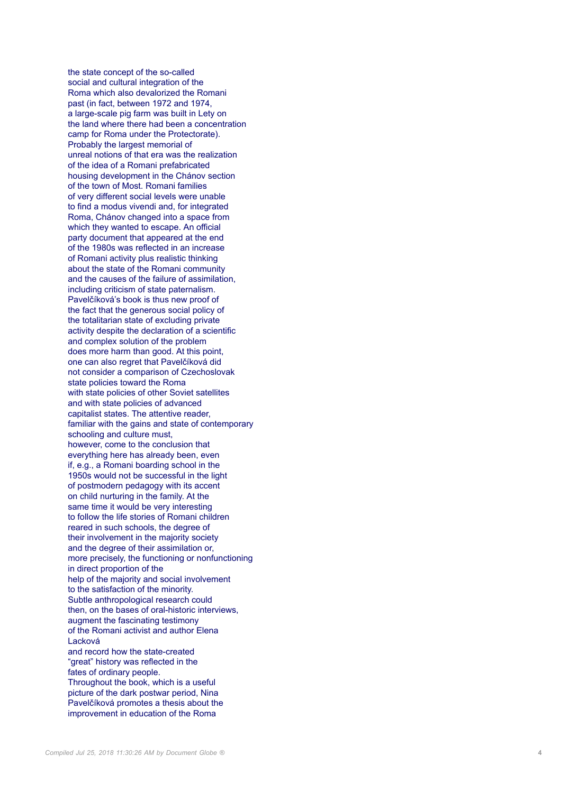the state concept of the so-called social and cultural integration of the Roma which also devalorized the Romani past (in fact, between 1972 and 1974, a large-scale pig farm was built in Lety on the land where there had been a concentration camp for Roma under the Protectorate). Probably the largest memorial of unreal notions of that era was the realization of the idea of a Romani prefabricated housing development in the Chánov section of the town of Most. Romani families of very different social levels were unable to find a modus vivendi and, for integrated Roma, Chánov changed into a space from which they wanted to escape. An official party document that appeared at the end of the 1980s was reflected in an increase of Romani activity plus realistic thinking about the state of the Romani community and the causes of the failure of assimilation, including criticism of state paternalism. Pavelčíková's book is thus new proof of the fact that the generous social policy of the totalitarian state of excluding private activity despite the declaration of a scientific and complex solution of the problem does more harm than good. At this point, one can also regret that Pavelčíková did not consider a comparison of Czechoslovak state policies toward the Roma with state policies of other Soviet satellites and with state policies of advanced capitalist states. The attentive reader, familiar with the gains and state of contemporary schooling and culture must, however, come to the conclusion that everything here has already been, even if, e.g., a Romani boarding school in the 1950s would not be successful in the light of postmodern pedagogy with its accent on child nurturing in the family. At the same time it would be very interesting to follow the life stories of Romani children reared in such schools, the degree of their involvement in the majority society and the degree of their assimilation or, more precisely, the functioning or nonfunctioning in direct proportion of the help of the majority and social involvement to the satisfaction of the minority. Subtle anthropological research could then, on the bases of oral-historic interviews, augment the fascinating testimony of the Romani activist and author Elena Lacková and record how the state-created "great" history was reflected in the fates of ordinary people. Throughout the book, which is a useful picture of the dark postwar period, Nina Pavelčíková promotes a thesis about the improvement in education of the Roma